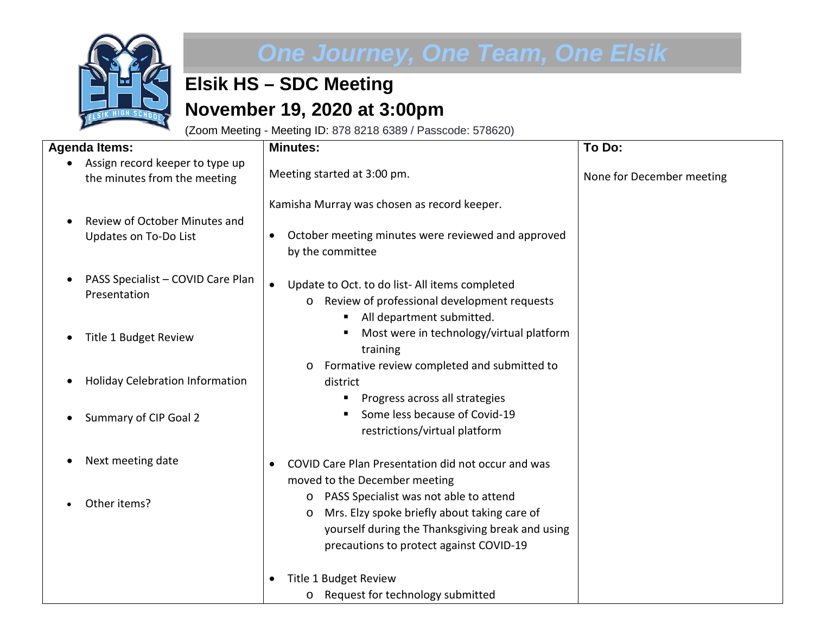

## *One Journey, One Team, One Elsik*

## **Elsik HS – SDC Meeting November 19, 2020 at 3:00pm**

(Zoom Meeting - Meeting ID: 878 8218 6389 / Passcode: 578620)

| <b>Agenda Items:</b>                                            | <b>Minutes:</b>                                                                                                                                                                                    | To Do:                    |
|-----------------------------------------------------------------|----------------------------------------------------------------------------------------------------------------------------------------------------------------------------------------------------|---------------------------|
| Assign record keeper to type up<br>the minutes from the meeting | Meeting started at 3:00 pm.                                                                                                                                                                        | None for December meeting |
| Review of October Minutes and<br>Updates on To-Do List          | Kamisha Murray was chosen as record keeper.<br>October meeting minutes were reviewed and approved<br>by the committee                                                                              |                           |
| PASS Specialist - COVID Care Plan<br>Presentation               | Update to Oct. to do list-All items completed<br>$\bullet$<br>Review of professional development requests<br>$\circ$<br>п                                                                          |                           |
| Title 1 Budget Review                                           | All department submitted.<br>Most were in technology/virtual platform<br>п<br>training                                                                                                             |                           |
| <b>Holiday Celebration Information</b><br>$\bullet$             | Formative review completed and submitted to<br>$\circ$<br>district<br>Progress across all strategies<br>п                                                                                          |                           |
| Summary of CIP Goal 2                                           | Some less because of Covid-19<br>п<br>restrictions/virtual platform                                                                                                                                |                           |
| Next meeting date                                               | COVID Care Plan Presentation did not occur and was<br>moved to the December meeting                                                                                                                |                           |
| Other items?                                                    | o PASS Specialist was not able to attend<br>Mrs. Elzy spoke briefly about taking care of<br>$\circ$<br>yourself during the Thanksgiving break and using<br>precautions to protect against COVID-19 |                           |
|                                                                 | Title 1 Budget Review<br>o Request for technology submitted                                                                                                                                        |                           |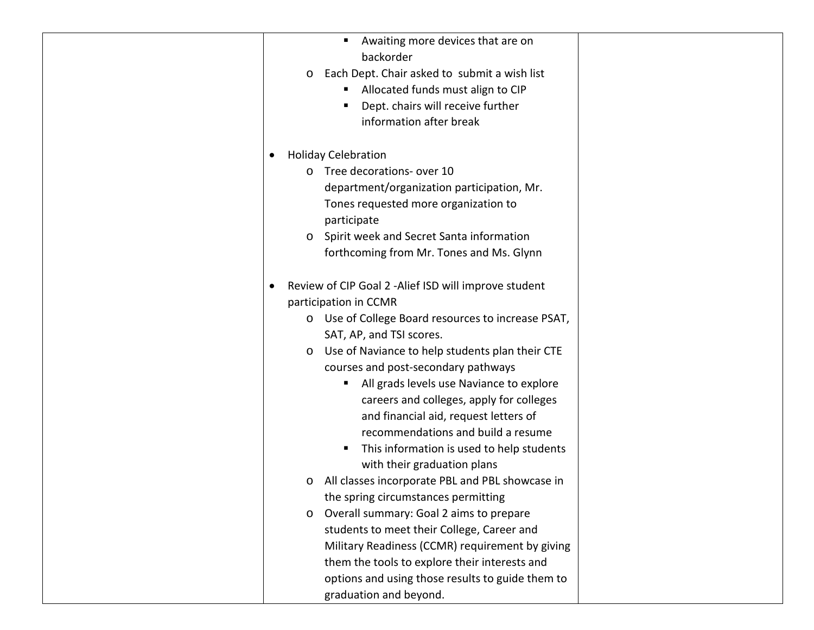| п                                                          |
|------------------------------------------------------------|
| Awaiting more devices that are on                          |
| backorder                                                  |
| Each Dept. Chair asked to submit a wish list<br>$\circ$    |
| Allocated funds must align to CIP<br>$\blacksquare$        |
| Dept. chairs will receive further                          |
| information after break                                    |
| <b>Holiday Celebration</b>                                 |
| o Tree decorations- over 10                                |
| department/organization participation, Mr.                 |
| Tones requested more organization to                       |
| participate                                                |
| Spirit week and Secret Santa information<br>$\circ$        |
| forthcoming from Mr. Tones and Ms. Glynn                   |
|                                                            |
| Review of CIP Goal 2 - Alief ISD will improve student      |
| participation in CCMR                                      |
| o Use of College Board resources to increase PSAT,         |
| SAT, AP, and TSI scores.                                   |
| Use of Naviance to help students plan their CTE<br>$\circ$ |
| courses and post-secondary pathways                        |
| All grads levels use Naviance to explore<br>ш              |
| careers and colleges, apply for colleges                   |
| and financial aid, request letters of                      |
| recommendations and build a resume                         |
| This information is used to help students<br>п.            |
| with their graduation plans                                |
| All classes incorporate PBL and PBL showcase in<br>$\circ$ |
| the spring circumstances permitting                        |
| Overall summary: Goal 2 aims to prepare<br>$\circ$         |
| students to meet their College, Career and                 |
| Military Readiness (CCMR) requirement by giving            |
| them the tools to explore their interests and              |
| options and using those results to guide them to           |
| graduation and beyond.                                     |